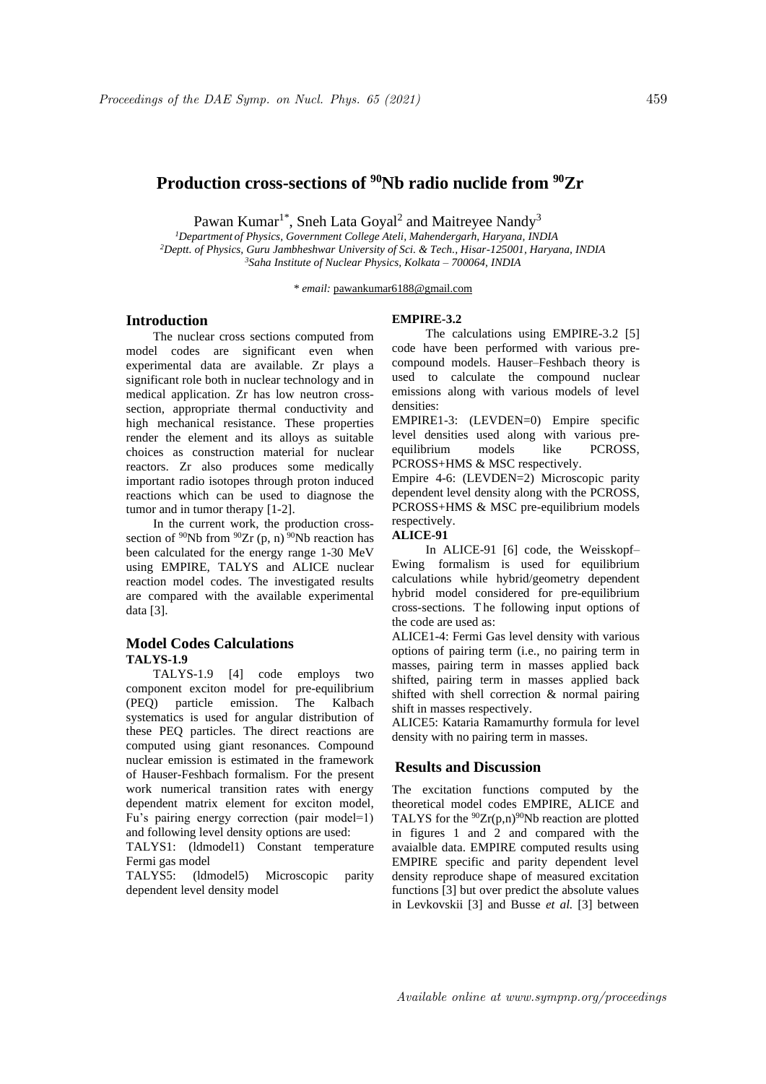# **Production cross-sections of <sup>90</sup>Nb radio nuclide from <sup>90</sup>Zr**

Pawan Kumar<sup>1\*</sup>, Sneh Lata Goyal<sup>2</sup> and Maitreyee Nandy<sup>3</sup>

*<sup>1</sup>Department of Physics, Government College Ateli, Mahendergarh, Haryana, INDIA <sup>2</sup>Deptt. of Physics, Guru Jambheshwar University of Sci. & Tech., Hisar-125001, Haryana, INDIA <sup>3</sup>Saha Institute of Nuclear Physics, Kolkata – 700064, INDIA*

*\* email:* pawankumar6188@gmail.com

### **Introduction**

The nuclear cross sections computed from model codes are significant even when experimental data are available. Zr plays a significant role both in nuclear technology and in medical application. Zr has low neutron crosssection, appropriate thermal conductivity and high mechanical resistance. These properties render the element and its alloys as suitable choices as construction material for nuclear reactors. Zr also produces some medically important radio isotopes through proton induced reactions which can be used to diagnose the tumor and in tumor therapy [1-2].

In the current work, the production crosssection of  $90Nb$  from  $90Zr$  (p, n)  $90Nb$  reaction has been calculated for the energy range 1-30 MeV using EMPIRE, TALYS and ALICE nuclear reaction model codes. The investigated results are compared with the available experimental data [3].

# **Model Codes Calculations TALYS-1.9**

TALYS-1.9 [4] code employs two component exciton model for pre-equilibrium (PEQ) particle emission. The Kalbach systematics is used for angular distribution of these PEQ particles. The direct reactions are computed using giant resonances. Compound nuclear emission is estimated in the framework of Hauser-Feshbach formalism. For the present work numerical transition rates with energy dependent matrix element for exciton model, Fu's pairing energy correction (pair model=1) and following level density options are used:

TALYS1: (ldmodel1) Constant temperature Fermi gas model

TALYS5: (ldmodel5) Microscopic parity dependent level density model

## **EMPIRE-3.2**

The calculations using EMPIRE-3.2 [5] code have been performed with various precompound models. Hauser–Feshbach theory is used to calculate the compound nuclear emissions along with various models of level densities:

EMPIRE1-3: (LEVDEN=0) Empire specific level densities used along with various preequilibrium models like PCROSS, PCROSS+HMS & MSC respectively.

Empire 4-6: (LEVDEN=2) Microscopic parity dependent level density along with the PCROSS, PCROSS+HMS & MSC pre-equilibrium models respectively.

#### **ALICE-91**

In ALICE-91 [6] code, the Weisskopf– Ewing formalism is used for equilibrium calculations while hybrid/geometry dependent hybrid model considered for pre-equilibrium cross-sections. T he following input options of the code are used as:

ALICE1-4: Fermi Gas level density with various options of pairing term (i.e., no pairing term in masses, pairing term in masses applied back shifted, pairing term in masses applied back shifted with shell correction & normal pairing shift in masses respectively.

ALICE5: Kataria Ramamurthy formula for level density with no pairing term in masses.

# **Results and Discussion**

The excitation functions computed by the theoretical model codes EMPIRE, ALICE and TALYS for the  $90Zr(p,n)90Nb$  reaction are plotted in figures 1 and 2 and compared with the avaialble data. EMPIRE computed results using EMPIRE specific and parity dependent level density reproduce shape of measured excitation functions [3] but over predict the absolute values in Levkovskii [3] and Busse *et al.* [3] between